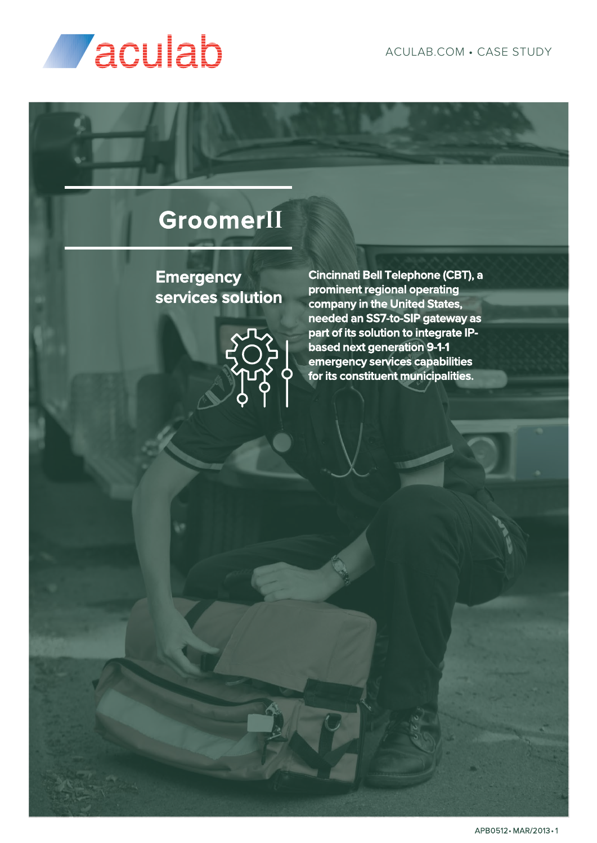

## **GroomerII**

**Emergency services solution** 



**Cincinnati Bell Telephone (CBT), a prominent regional operating company in the United States, needed an SS7-to-SIP gateway as part of its solution to integrate IPbased next generation 9-1-1 emergency services capabilities for its constituent municipalities.**

APB0512• MAR/2013 • 1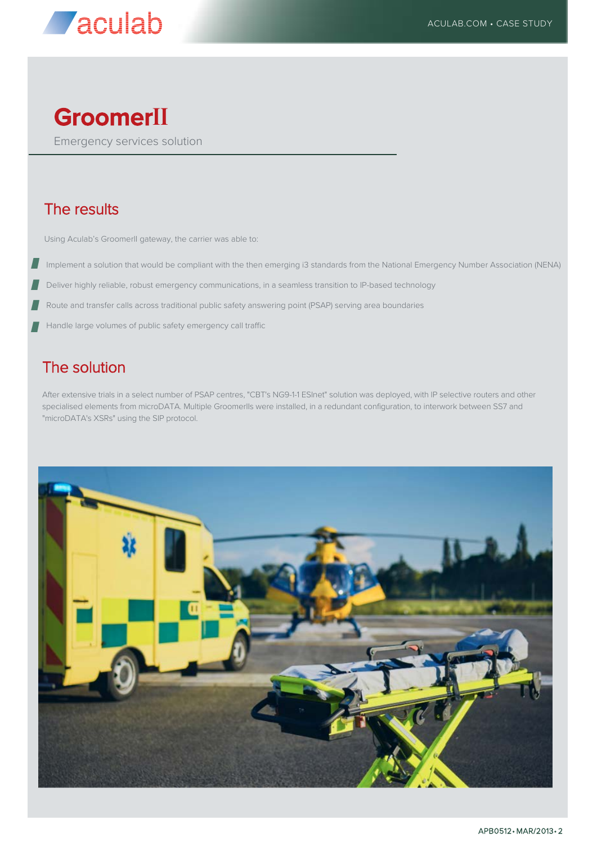

## **GroomerII**

Emergency services solution

### The results

Using Aculab's Groomerll gateway, the carrier was able to:

- Implement a solution that would be compliant with the then emerging i3 standards from the National Emergency Number Association (NENA)
- Deliver highly reliable, robust emergency communications, in a seamless transition to IP-based technology
- Route and transfer calls across traditional public safety answering point (PSAP) serving area boundaries
- Handle large volumes of public safety emergency call traffic

### The solution

After extensive trials in a select number of PSAP centres, "CBT's NG9-1-1 ESInet" solution was deployed, with IP selective routers and other specialised elements from microDATA. Multiple GroomerIIs were installed, in a redundant configuration, to interwork between SS7 and "microDATA's XSRs" using the SIP protocol.